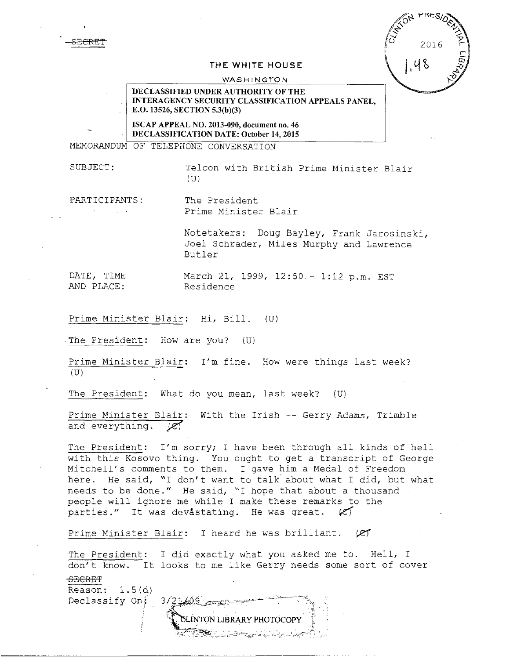S<del>ECRET</del>

| <b>SITE</b> ON | <b>PRESIDER</b> |                          |
|----------------|-----------------|--------------------------|
|                | 2016            | $\frac{\lambda}{\nabla}$ |
|                | 48              | ಹ                        |
|                |                 |                          |

#### **THE** WHITE HOUSE

#### WASHINGTON

### DECLASSIFIED UNDER AUTHORITY OF THE INTERAGENCY SECURITY CLASSIFICATION APPEALS PANEL, E.O. 13526, SECTION 5.3(b)(3)

ISCAP APPEAL NO. 2013-090, document no. 46 DECLASSIFICATION DATE: October 14, 2015

MEMORANDUM OF TELEPHONE CONVERSATION

SUBJECT: Telcon with British Prime Minister Blair  $(U)$ 

PARTICIPANTS: The President

Prime Minister Blair

Notetakers: Doug Bayley, Frank Jarosinski, Joel Schrader, Miles Murphy and Lawrence Butler

DATE, TIME March 21, 1999, 12:50.- 1:12 p.m. EST<br>AND PLACE: Residence AND PLACE:

Prime Minister Blair: Hi, Bill. (U)

The President: How are you? (U)

Prime Minister Blair: I'm fine. How were things last week?  $(U)$ 

The President: What do you mean, last week? (U)

Prime Minister Blair: With the Irish -- Gerry Adams, Trimble and everything.  $\overline{\mathscr{C}}$ 

The President: I'm sorry; I have been through all kinds of hell with this Kosovo thing. You ought to get a transcript of George Mitchell's comments to them. I gave him a Medal of Freedom here. He said, "I don't want to talk about what I did, but what needs to be done." He said, "I hope that about a thousand people will ignore me while I make these remarks to the parties." It was devastating. He was great.  $|C|$ 

Prime Minister Blair: I heard he was brilliant.  $(25)$ 

The President: I did exactly what you asked me to. Hell, I don't know. It looks to me like Gerry needs some sort of cover

SECRET

Reason: l.S(d) Declassify On:

 $3/21/09$ INTON LIBRARY PHOTOCOPY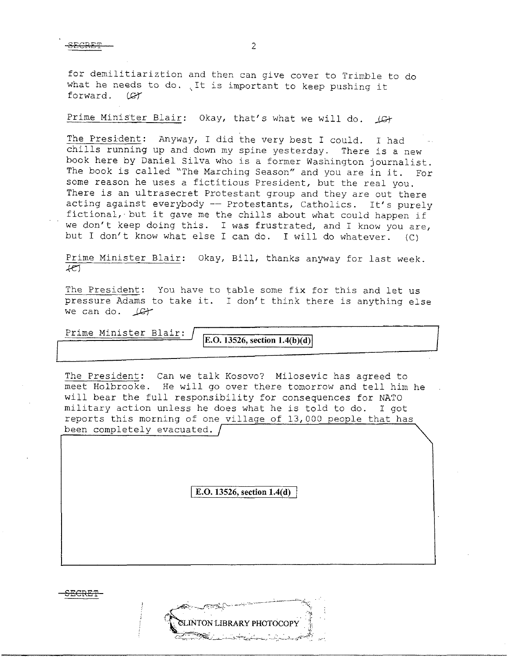for demilitiariztion and then can give cover to Trimble to do It is important to heap pushing it<br>what he needs to do. It is important to keep pushing it forward. (CT)

Prime Minister Blair: Okay, that's what we will do.  $\Box G$ 

The President: Anyway, I did the very best I could. I had chills running up and down my spine yesterday. There is a new book here by Daniel Silva who is a former Washington journalist. The book is called "The Marching Season" and you are in it. For some reason he uses a fictitious President, but the real you. There is an ultrasecret Protestant group and they are out there acting against everybody -- Protestants, Catholics. It's purely fictional, but it gave me the chills about what could happen if we don't keep doing this. I was frustrated, and I know you are, but I don't know what else I can do. I will do whatever. (C)

Prime Minister Blair: Okay, Bill, thanks anyway for last week .  $+e$ 

The President: You have to table some fix for this and let us pressure Adams to take it. I don't think there is anything else we can do.  $\text{Ler}$ 

Prime Minister Blair:

**E.O. 13526, section 1.4(b)(d)** 

The President: Can we talk Kosovo? Milosevic has agreed to meet Holbrooke. He will go over there tomorrow and tell him he will bear the full responsibility for consequences for NATO military action unless he does what he is told to do. I got reports this morning of one village of 13,000 people that has been completely evacuated.

I **E.O. 13526, section 1.4(d)** 

**SECRE'f** 

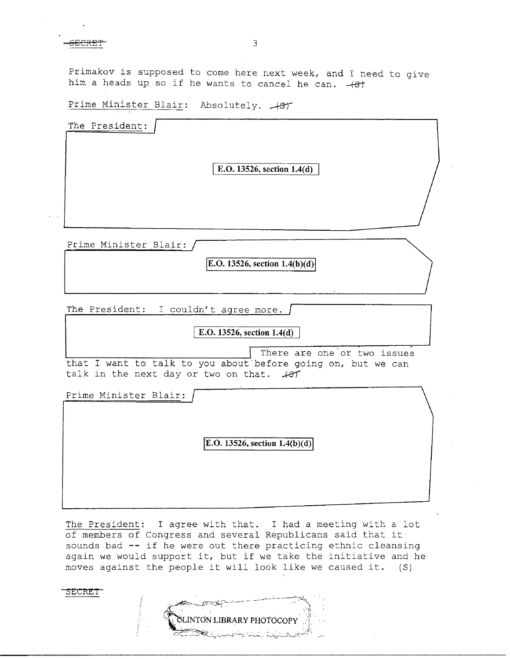SECRET<sup>-</sup>

Primakov is supposed to come here next week, and I need to give him a heads up so if he wants to cancel he can.  $+8t$ 

Prime Minister Blair: Absolutely.  $+8$ 

| The President: |                            |  |
|----------------|----------------------------|--|
|                | E.O. 13526, section 1.4(d) |  |
|                |                            |  |
|                |                            |  |

Prime Minister Blair:

**IE.O. 13526, section 1.4(b)(d)** 

The President:  $I$  couldn't agree more.  $\int$ 

## I **E.O. 13526, section 1.4(d)**

There are one or two issues that I want to talk to you about'before going on, but we can talk in the next day or two on that.  $\sqrt{8}$ 

Prime Minister Blair: **E.O. 13526, section 1.4(b)(d)** 

The President: I agree with that. I had a meeting with a lot of members of congress and several Republicans said that it sounds bad -- if he were out there practicing ethnic cleansing again we would support it, but if we take the initiative and he moves against the people it will look like we caused it. (S)

**Sl':CIZEI** 

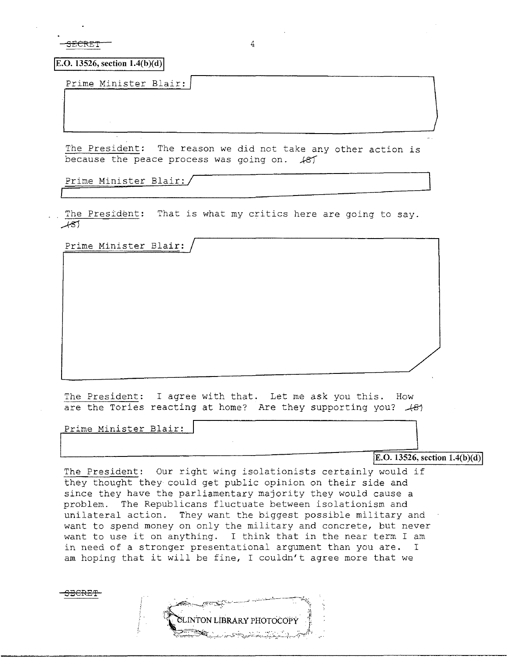<del>ECRET</del>

 $\boxed{E.O. 13526, section 1.4(b)(d)}$ 

Prime Minister Blair:/

The President: The reason we did not take any other action is because the peace process was going on.  $#87'$ 

Prime Minister Blair:/

The President: That is what my critics here are going to say.  $+81$ 

Prime Minister Blair:

The President: I agree with that. Let me ask you this. How are the Tories reacting at home? Are they supporting you?  $\mathcal{A}\mathcal{B}1$ 

'Prime Minister Blair:

**E.O. 13526, section 1.4(b)(d)** 

The President: Our right wing isolationists certainly would if they thought they could get public opinion on their side and since they have the parliamentary majority they would cause a problem. The Republicans fluctuate between isolationism and .<br>unilateral action. They want the biggest possible military and want to spend money on only the military and concrete, but never want to spend money on only the military and concrete, but hever<br>want to use it on anything. I think that in the near term I am in need of a stronger presentational argument than you are. I am hoping that it will be fine, I couldn't agree more that we

**ELINTON LIBRARY PHOTOCOPY** 

<del>SECRET</del>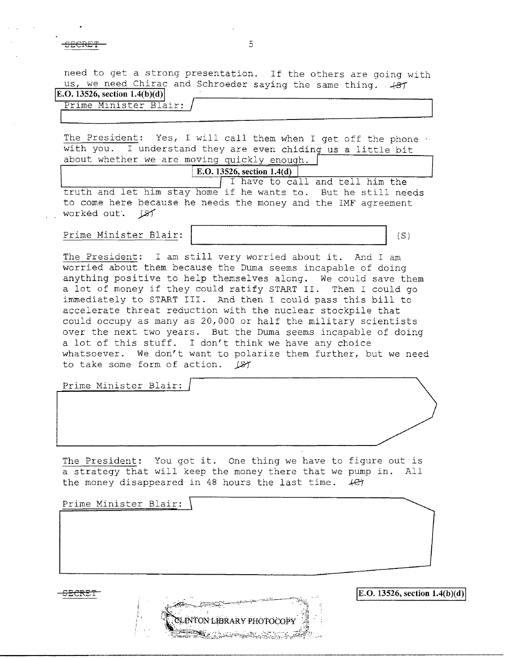**SECRE'f** 5

 $\Box$ 

need to get a strong presentation. If the others are going with us, we need Chirac and Schroeder saying the same thing.  $+87$ **E.O. 13526, section 1.4(b)(d)** 

# Prime Minister Blair:

The President: Yes, I will call them when I get off the phone  $\cdot \cdot$ with you. I understand they are even chiding us a little bit about whether we are moving quickly enough.

I have to call and tell him the **E.O. 13526, section 1.4(d)**  truth and let him stay home if he wants to. But he still needs to come here because he needs the money and the IMF agreement worked out. (87

Prime Minister Blair: (S)

The President: I am still very worried about it. And I am worried about them because the Duma seems incapable of doing anything positive to help themselves along. We could save them a lot of money if they could ratify START II. Then I could go immediately to START III. And then I could pass this bill to accelerate threat reduction with the nuclear stockpile that could occupy as many as 20,000 or half the military scientists over the next two years. But the Duma seems incapable of doing a lot of this stuff. I don't think we have any choice whatsoever. We don't want to polarize them further, but we need to take some form of action. (S)

Prime Minister Blair:

The President: You got it. One thing we have to figure out is a strategy that will keep the money there that we pump in. All the money disappeared in 48 hours the last time.  $+Cf$ 

Prime Minister Blair:

INTON LIBRARY PHOTOCOPY

SECRE't' **jE.O. 13526, section l.4(b)(d)j**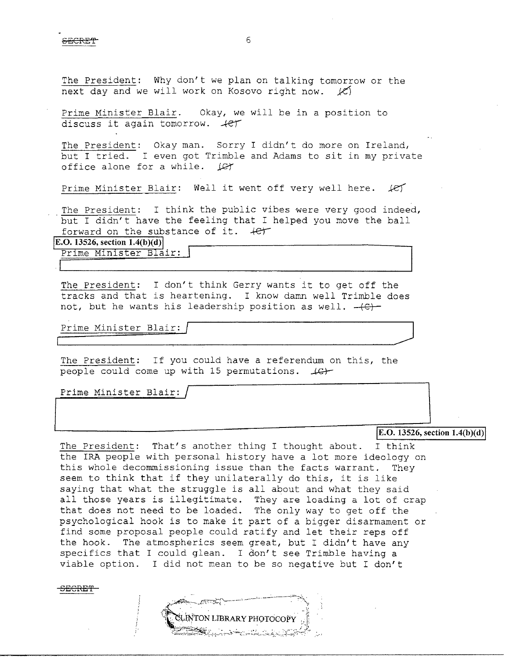SECRET GEORGE STATISTICS OF STATISTICS.

The President: Why don't we plan on talking tomorrow or the next day and we will work on Kosovo right now.  $\mathcal{L}$ 

Prime Minister Blair. Okay, we will be in a position to discuss it again tomorrow.  $+e^+$ 

The President: Okay man. Sorry I didn't do more on Ireland, but I tried. I even got Trimble and Adams to sit in my private office alone for a while.  $\angle$ office alone for a while.

Prime Minister Blair: Well it went off very well here. *.ke')* 

The President: I think the public vibes were very good indeed, but I didn't have the feeling that I helped you move the ball forward on the substance of it.  $+e^{\prime\prime}$ 

**E.O. 13526, section 1.4(b )(d)** 

Prime Minister Blair:

The President: I don't think Gerry wants it to get off the tracks and that is heartening. I know damn well Trimble does not, but he wants his leadership position as well.  $-(c)$ 

Prime Minister Blair: Prime Minister Blair:  $\sqrt{\frac{2}{\frac{1}{2} \cdot \frac{1}{2} \cdot \frac{1}{2} \cdot \frac{1}{2} \cdot \frac{1}{2} \cdot \frac{1}{2} \cdot \frac{1}{2} \cdot \frac{1}{2} \cdot \frac{1}{2} \cdot \frac{1}{2} \cdot \frac{1}{2} \cdot \frac{1}{2} \cdot \frac{1}{2} \cdot \frac{1}{2} \cdot \frac{1}{2} \cdot \frac{1}{2} \cdot \frac{1}{2} \cdot \frac{1}{2} \cdot \frac{1}{2} \cdot \frac{1}{2} \cdot \frac{1}{2} \cdot \frac{$ 

The President: If you could have a referendum on this, the people could come up with 15 permutations.  $\text{L}\rightarrow\text{L}$ 

Prime Minister Blair:

**IE.O. 13526, section 1.4(b)(d)** 

The President: That's another thing I thought about. I think the IRA people with personal history have a lot more ideology on this whole decommissioning issue than the facts warrant. They seem to think that if they unilaterally do this, it is like saying that what the struggle is all about and what they said all those years is illegitimate. They are loading a lot of crap that does not need to be loaded. The only way to get off the psychological hook is to make it part of a bigger disarmament or find some proposal people could ratify and let their reps off the hook. The atmospherics seem great, but I didn't have any specifics that I could glean. I don't see Trimble having a viable option. I did not mean to be so negative but I don't

<del>BECRET</del>